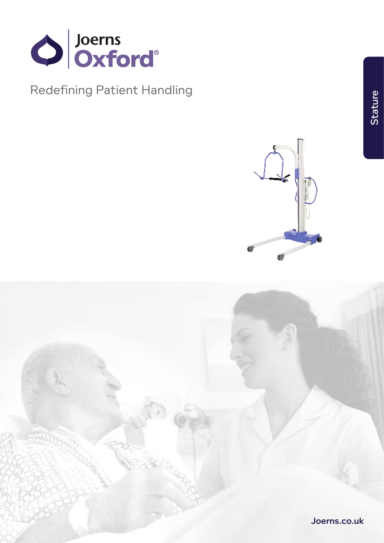

**Redefining Patient Handling** 



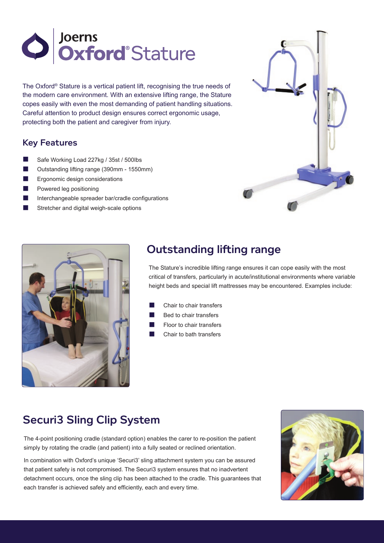

The Oxford® Stature is a vertical patient lift, recognising the true needs of the modern care environment. With an extensive lifting range, the Stature copes easily with even the most demanding of patient handling situations. Careful attention to product design ensures correct ergonomic usage, protecting both the patient and caregiver from injury.

#### Key Features

- Safe Working Load 227kg / 35st / 500lbs
- n Outstanding lifting range (390mm 1550mm)
- Ergonomic design considerations
- Powered leg positioning
- Interchangeable spreader bar/cradle configurations
- Stretcher and digital weigh-scale options





# Outstanding lifting range

The Stature's incredible lifting range ensures it can cope easily with the most critical of transfers, particularly in acute/institutional environments where variable height beds and special lift mattresses may be encountered. Examples include:

- Chair to chair transfers
- Bed to chair transfers
- Floor to chair transfers
- Chair to bath transfers

## Securi3 Sling Clip System

The 4-point positioning cradle (standard option) enables the carer to re-position the patient simply by rotating the cradle (and patient) into a fully seated or reclined orientation.

In combination with Oxford's unique 'Securi3' sling attachment system you can be assured that patient safety is not compromised. The Securi3 system ensures that no inadvertent detachment occurs, once the sling clip has been attached to the cradle. This guarantees that each transfer is achieved safely and efficiently, each and every time.

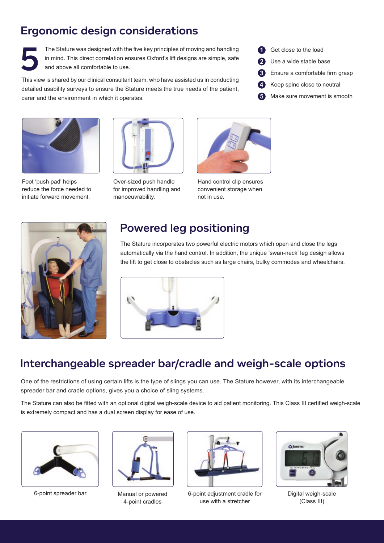# Ergonomic design considerations

The Stature was designed with the five key principles of moving and handling in mind. This direct correlation ensures Oxford's lift designs are simple, safe and above all comfortable to use.

This view is shared by our clinical consultant team, who have assisted us in conducting detailed usability surveys to ensure the Stature meets the true needs of the patient, carer and the environment in which it operates.



Foot 'push pad' helps reduce the force needed to initiate forward movement.



Over-sized push handle for improved handling and manoeuvrability.



Hand control clip ensures convenient storage when not in use.



### Powered leg positioning

The Stature incorporates two powerful electric motors which open and close the legs automatically via the hand control. In addition, the unique 'swan-neck' leg design allows the lift to get close to obstacles such as large chairs, bulky commodes and wheelchairs.



### Interchangeable spreader bar/cradle and weigh-scale options

One of the restrictions of using certain lifts is the type of slings you can use. The Stature however, with its interchangeable spreader bar and cradle options, gives you a choice of sling systems.

The Stature can also be fitted with an optional digital weigh-scale device to aid patient monitoring. This Class III certified weigh-scale is extremely compact and has a dual screen display for ease of use.





Manual or powered 4-point cradles



6-point spreader bar **6-point adjustment cradle for** 6-point adjustment cradle for use with a stretcher



Digital weigh-scale (Class III)



- Use a wide stable base **2**
- Ensure a comfortable firm grasp **3**
- Keep spine close to neutral **4**
- Make sure movement is smooth **5**